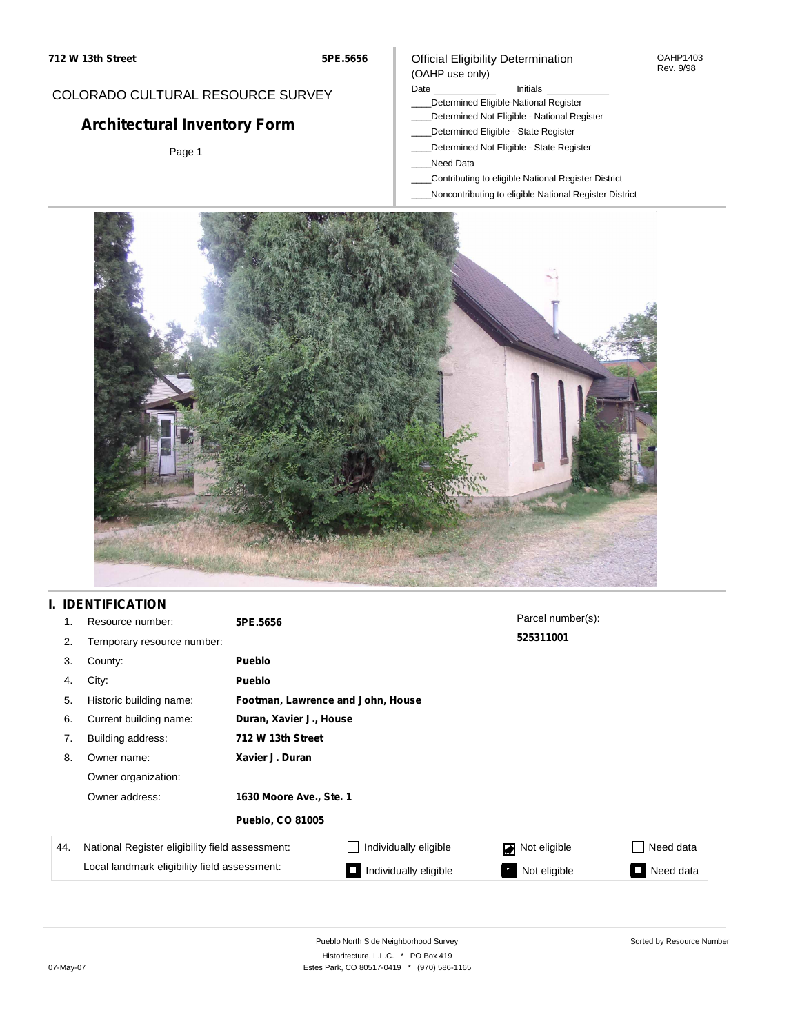### COLORADO CULTURAL RESOURCE SURVEY

# **Architectural Inventory Form**

Page 1

### Official Eligibility Determination (OAHP use only)

#### Date **Initials** Initials

- \_\_\_\_Determined Eligible-National Register
- \_\_\_\_Determined Not Eligible National Register
- \_\_\_\_Determined Eligible State Register
- \_\_\_\_Determined Not Eligible State Register
- \_\_\_\_Need Data
- \_\_\_\_Contributing to eligible National Register District
- \_\_\_\_Noncontributing to eligible National Register District



## **I. IDENTIFICATION**

| 1.  | Resource number:                                | 5PE.5656                |                                   | Parcel number(s): |           |  |  |  |
|-----|-------------------------------------------------|-------------------------|-----------------------------------|-------------------|-----------|--|--|--|
| 2.  | Temporary resource number:                      |                         |                                   | 525311001         |           |  |  |  |
| 3.  | County:                                         | <b>Pueblo</b>           |                                   |                   |           |  |  |  |
| 4.  | City:                                           | <b>Pueblo</b>           |                                   |                   |           |  |  |  |
| 5.  | Historic building name:                         |                         | Footman, Lawrence and John, House |                   |           |  |  |  |
| 6.  | Current building name:                          |                         | Duran, Xavier J., House           |                   |           |  |  |  |
| 7.  | Building address:                               | 712 W 13th Street       |                                   |                   |           |  |  |  |
| 8.  | Owner name:                                     | Xavier J. Duran         |                                   |                   |           |  |  |  |
|     | Owner organization:                             |                         |                                   |                   |           |  |  |  |
|     | Owner address:                                  | 1630 Moore Ave., Ste. 1 |                                   |                   |           |  |  |  |
|     |                                                 | <b>Pueblo, CO 81005</b> |                                   |                   |           |  |  |  |
| 44. | National Register eligibility field assessment: |                         | Individually eligible             | Not eligible<br>◪ | Need data |  |  |  |
|     | Local landmark eligibility field assessment:    |                         | Individually eligible             | Not eligible<br>ъ | Need data |  |  |  |

OAHP1403 Rev. 9/98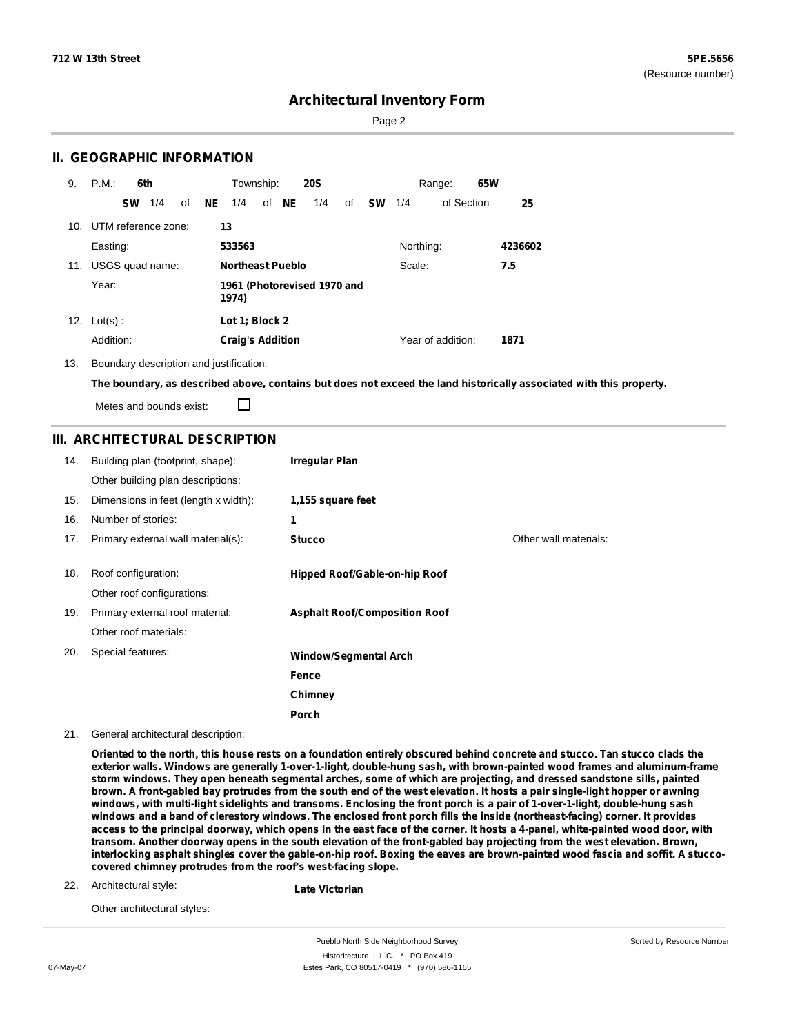Sorted by Resource Number

## **Architectural Inventory Form**

Page 2

### **II. GEOGRAPHIC INFORMATION**

| 9.  | P.M.                | 6th |    |                                   | Township:                            |  |       | <b>20S</b> |    |           |           | Range:            | 65W |         |
|-----|---------------------|-----|----|-----------------------------------|--------------------------------------|--|-------|------------|----|-----------|-----------|-------------------|-----|---------|
|     | <b>SW</b>           | 1/4 | of | <b>NE</b>                         | 1/4                                  |  | of NE | 1/4        | of | <b>SW</b> | 1/4       | of Section        |     | 25      |
| 10. | UTM reference zone: |     |    |                                   | 13                                   |  |       |            |    |           |           |                   |     |         |
|     | Easting:            |     |    |                                   | 533563                               |  |       |            |    |           | Northing: |                   |     | 4236602 |
| 11. | USGS quad name:     |     |    | <b>Northeast Pueblo</b><br>Scale: |                                      |  |       | 7.5        |    |           |           |                   |     |         |
|     | Year:               |     |    |                                   | 1961 (Photorevised 1970 and<br>1974) |  |       |            |    |           |           |                   |     |         |
| 12. | $Lot(s)$ :          |     |    |                                   | Lot 1; Block 2                       |  |       |            |    |           |           |                   |     |         |
|     | Addition:           |     |    |                                   | <b>Craig's Addition</b>              |  |       |            |    |           |           | Year of addition: |     | 1871    |

13. Boundary description and justification:

The boundary, as described above, contains but does not exceed the land historically associated with this property.

Metes and bounds exist:

П

### **III. ARCHITECTURAL DESCRIPTION**

| 14. | Building plan (footprint, shape):    | <b>Irregular Plan</b>                |                       |
|-----|--------------------------------------|--------------------------------------|-----------------------|
|     | Other building plan descriptions:    |                                      |                       |
| 15. | Dimensions in feet (length x width): | 1,155 square feet                    |                       |
| 16. | Number of stories:                   | 1                                    |                       |
| 17. | Primary external wall material(s):   | <b>Stucco</b>                        | Other wall materials: |
|     |                                      |                                      |                       |
| 18. | Roof configuration:                  | Hipped Roof/Gable-on-hip Roof        |                       |
|     | Other roof configurations:           |                                      |                       |
| 19. | Primary external roof material:      | <b>Asphalt Roof/Composition Roof</b> |                       |
|     | Other roof materials:                |                                      |                       |
| 20. | Special features:                    | <b>Window/Segmental Arch</b>         |                       |
|     |                                      | Fence                                |                       |
|     |                                      | Chimney                              |                       |
|     |                                      | Porch                                |                       |

21. General architectural description:

Oriented to the north, this house rests on a foundation entirely obscured behind concrete and stucco. Tan stucco clads the **exterior walls. Windows are generally 1-over-1-light, double-hung sash, with brown-painted wood frames and aluminum-frame** storm windows. They open beneath segmental arches, some of which are projecting, and dressed sandstone sills, painted brown. A front-gabled bay protrudes from the south end of the west elevation. It hosts a pair single-light hopper or awning windows, with multi-light sidelights and transoms. Enclosing the front porch is a pair of 1-over-1-light, double-hung sash windows and a band of clerestory windows. The enclosed front porch fills the inside (northeast-facing) corner. It provides access to the principal doorway, which opens in the east face of the corner. It hosts a 4-panel, white-painted wood door, with transom. Another doorway opens in the south elevation of the front-gabled bay projecting from the west elevation. Brown, interlocking asphalt shingles cover the gable-on-hip roof. Boxing the eaves are brown-painted wood fascia and soffit. A stucco**covered chimney protrudes from the roof's west-facing slope.**

22. Architectural style:

**Late Victorian**

Other architectural styles:

Pueblo North Side Neighborhood Survey Historitecture, L.L.C. \* PO Box 419 07-May-07 **Estes Park, CO 80517-0419** \* (970) 586-1165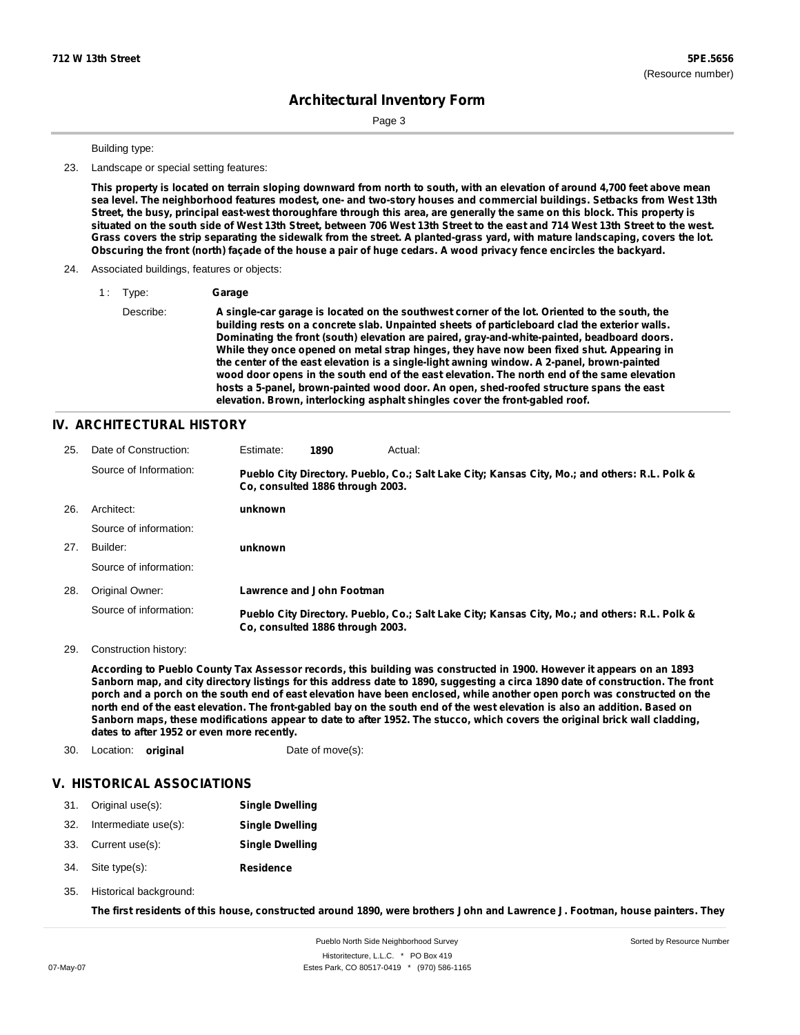Page 3

Building type:

23. Landscape or special setting features:

This property is located on terrain sloping downward from north to south, with an elevation of around 4,700 feet above mean sea level. The neighborhood features modest, one- and two-story houses and commercial buildings. Setbacks from West 13th Street, the busy, principal east-west thoroughfare through this area, are generally the same on this block. This property is situated on the south side of West 13th Street, between 706 West 13th Street to the east and 714 West 13th Street to the west. Grass covers the strip separating the sidewalk from the street. A planted-grass yard, with mature landscaping, covers the lot. Obscuring the front (north) façade of the house a pair of huge cedars. A wood privacy fence encircles the backyard.

#### 24. Associated buildings, features or objects:

1 : Type: **Garage**

Describe: **A single-car garage is located on the southwest corner of the lot. Oriented to the south, the building rests on a concrete slab. Unpainted sheets of particleboard clad the exterior walls. Dominating the front (south) elevation are paired, gray-and-white-painted, beadboard doors. While they once opened on metal strap hinges, they have now been fixed shut. Appearing in the center of the east elevation is a single-light awning window. A 2-panel, brown-painted wood door opens in the south end of the east elevation. The north end of the same elevation hosts a 5-panel, brown-painted wood door. An open, shed-roofed structure spans the east elevation. Brown, interlocking asphalt shingles cover the front-gabled roof.**

#### **IV. ARCHITECTURAL HISTORY**

| 25. | Date of Construction:  | Estimate: | 1890                             | Actual:                                                                                       |
|-----|------------------------|-----------|----------------------------------|-----------------------------------------------------------------------------------------------|
|     | Source of Information: |           | Co. consulted 1886 through 2003. | Pueblo City Directory. Pueblo, Co.; Salt Lake City; Kansas City, Mo.; and others: R.L. Polk & |
| 26. | Architect:             | unknown   |                                  |                                                                                               |
|     | Source of information: |           |                                  |                                                                                               |
| 27. | Builder:               | unknown   |                                  |                                                                                               |
|     | Source of information: |           |                                  |                                                                                               |
| 28. | Original Owner:        |           | <b>Lawrence and John Footman</b> |                                                                                               |
|     | Source of information: |           | Co. consulted 1886 through 2003. | Pueblo City Directory. Pueblo, Co.; Salt Lake City; Kansas City, Mo.; and others: R.L. Polk & |

29. Construction history:

According to Pueblo County Tax Assessor records, this building was constructed in 1900. However it appears on an 1893 Sanborn map, and city directory listings for this address date to 1890, suggesting a circa 1890 date of construction. The front porch and a porch on the south end of east elevation have been enclosed, while another open porch was constructed on the north end of the east elevation. The front-gabled bay on the south end of the west elevation is also an addition. Based on Sanborn maps, these modifications appear to date to after 1952. The stucco, which covers the original brick wall cladding, **dates to after 1952 or even more recently.**

30. Location: **original** Date of move(s):

#### **V. HISTORICAL ASSOCIATIONS**

|     | 31. Original use(s): | <b>Single Dwelling</b> |
|-----|----------------------|------------------------|
| 32. | Intermediate use(s): | <b>Single Dwelling</b> |
|     | 33. Current use(s):  | <b>Single Dwelling</b> |

- **Residence** Site type(s): 34.
- 35. Historical background:

The first residents of this house, constructed around 1890, were brothers John and Lawrence J. Footman, house painters. They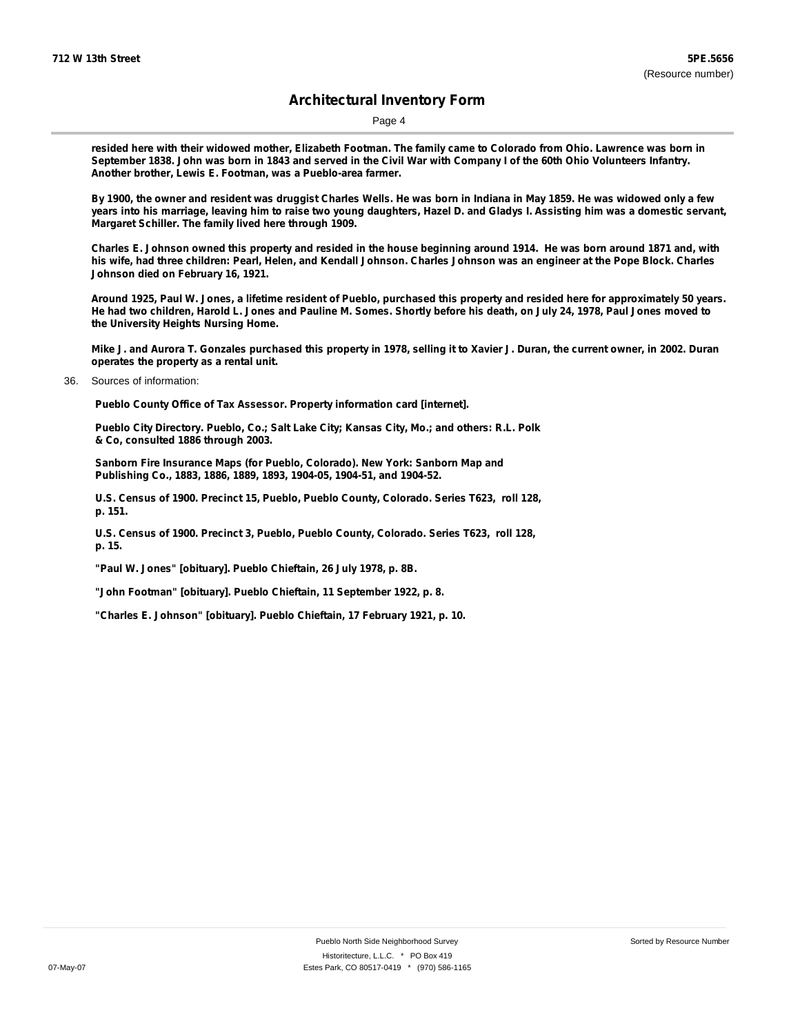Page 4

resided here with their widowed mother, Elizabeth Footman. The family came to Colorado from Ohio. Lawrence was born in September 1838. John was born in 1843 and served in the Civil War with Company I of the 60th Ohio Volunteers Infantry. **Another brother, Lewis E. Footman, was a Pueblo-area farmer.**

By 1900, the owner and resident was druggist Charles Wells. He was born in Indiana in May 1859. He was widowed only a few years into his marriage, leaving him to raise two young daughters, Hazel D. and Gladys I. Assisting him was a domestic servant, **Margaret Schiller. The family lived here through 1909.**

Charles E. Johnson owned this property and resided in the house beginning around 1914. He was born around 1871 and, with his wife, had three children: Pearl, Helen, and Kendall Johnson. Charles Johnson was an engineer at the Pope Block. Charles **Johnson died on February 16, 1921.**

Around 1925, Paul W. Jones, a lifetime resident of Pueblo, purchased this property and resided here for approximately 50 years. He had two children, Harold L. Jones and Pauline M. Somes. Shortly before his death, on July 24, 1978, Paul Jones moved to **the University Heights Nursing Home.**

Mike J. and Aurora T. Gonzales purchased this property in 1978, selling it to Xavier J. Duran, the current owner, in 2002. Duran **operates the property as a rental unit.**

36. Sources of information:

**Pueblo County Office of Tax Assessor. Property information card [internet].**

**Pueblo City Directory. Pueblo, Co.; Salt Lake City; Kansas City, Mo.; and others: R.L. Polk & Co, consulted 1886 through 2003.**

**Sanborn Fire Insurance Maps (for Pueblo, Colorado). New York: Sanborn Map and Publishing Co., 1883, 1886, 1889, 1893, 1904-05, 1904-51, and 1904-52.**

**U.S. Census of 1900. Precinct 15, Pueblo, Pueblo County, Colorado. Series T623, roll 128, p. 151.**

**U.S. Census of 1900. Precinct 3, Pueblo, Pueblo County, Colorado. Series T623, roll 128, p. 15.**

**"Paul W. Jones" [obituary]. Pueblo Chieftain, 26 July 1978, p. 8B.**

**"John Footman" [obituary]. Pueblo Chieftain, 11 September 1922, p. 8.**

**"Charles E. Johnson" [obituary]. Pueblo Chieftain, 17 February 1921, p. 10.**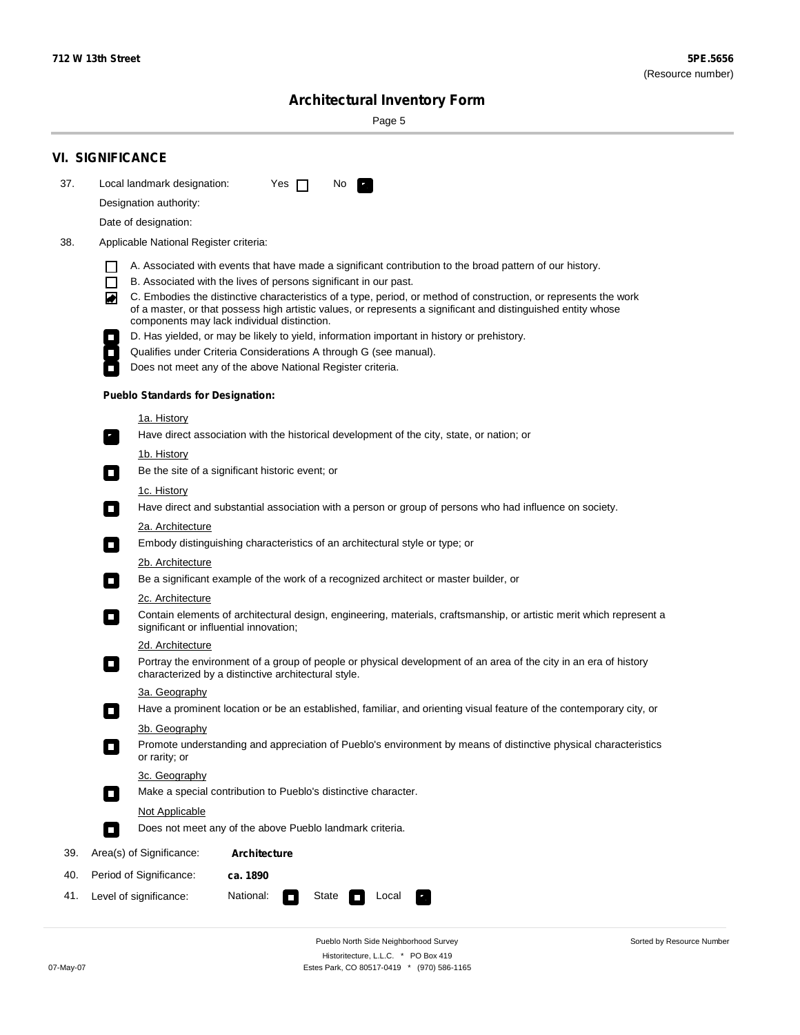÷

Sorted by Resource Number

## **Architectural Inventory Form**

Page 5

|     | <b>VI. SIGNIFICANCE</b>                                                                                                                                                                                                                                                                                                                                                                                                                                                                                                                                                                                                                                                                                                |  |  |  |  |  |  |
|-----|------------------------------------------------------------------------------------------------------------------------------------------------------------------------------------------------------------------------------------------------------------------------------------------------------------------------------------------------------------------------------------------------------------------------------------------------------------------------------------------------------------------------------------------------------------------------------------------------------------------------------------------------------------------------------------------------------------------------|--|--|--|--|--|--|
| 37. | Local landmark designation:<br>Yes $\Box$<br>No.                                                                                                                                                                                                                                                                                                                                                                                                                                                                                                                                                                                                                                                                       |  |  |  |  |  |  |
|     | Designation authority:                                                                                                                                                                                                                                                                                                                                                                                                                                                                                                                                                                                                                                                                                                 |  |  |  |  |  |  |
|     | Date of designation:                                                                                                                                                                                                                                                                                                                                                                                                                                                                                                                                                                                                                                                                                                   |  |  |  |  |  |  |
| 38. | Applicable National Register criteria:                                                                                                                                                                                                                                                                                                                                                                                                                                                                                                                                                                                                                                                                                 |  |  |  |  |  |  |
|     | A. Associated with events that have made a significant contribution to the broad pattern of our history.<br>l.<br>B. Associated with the lives of persons significant in our past.<br>$\Box$<br>C. Embodies the distinctive characteristics of a type, period, or method of construction, or represents the work<br>◙<br>of a master, or that possess high artistic values, or represents a significant and distinguished entity whose<br>components may lack individual distinction.<br>D. Has yielded, or may be likely to yield, information important in history or prehistory.<br>Qualifies under Criteria Considerations A through G (see manual).<br>Does not meet any of the above National Register criteria. |  |  |  |  |  |  |
|     | <b>Pueblo Standards for Designation:</b>                                                                                                                                                                                                                                                                                                                                                                                                                                                                                                                                                                                                                                                                               |  |  |  |  |  |  |
|     | 1a. History<br>Have direct association with the historical development of the city, state, or nation; or                                                                                                                                                                                                                                                                                                                                                                                                                                                                                                                                                                                                               |  |  |  |  |  |  |
|     | <u>1b. History</u><br>Be the site of a significant historic event; or<br>$\mathcal{L}_{\mathcal{A}}$                                                                                                                                                                                                                                                                                                                                                                                                                                                                                                                                                                                                                   |  |  |  |  |  |  |
|     | 1c. History<br>Have direct and substantial association with a person or group of persons who had influence on society.<br>$\blacksquare$                                                                                                                                                                                                                                                                                                                                                                                                                                                                                                                                                                               |  |  |  |  |  |  |
|     | 2a. Architecture<br>Embody distinguishing characteristics of an architectural style or type; or<br>$\overline{\phantom{a}}$                                                                                                                                                                                                                                                                                                                                                                                                                                                                                                                                                                                            |  |  |  |  |  |  |
|     | 2b. Architecture                                                                                                                                                                                                                                                                                                                                                                                                                                                                                                                                                                                                                                                                                                       |  |  |  |  |  |  |
|     | Be a significant example of the work of a recognized architect or master builder, or                                                                                                                                                                                                                                                                                                                                                                                                                                                                                                                                                                                                                                   |  |  |  |  |  |  |
|     | 2c. Architecture<br>Contain elements of architectural design, engineering, materials, craftsmanship, or artistic merit which represent a<br>О<br>significant or influential innovation;                                                                                                                                                                                                                                                                                                                                                                                                                                                                                                                                |  |  |  |  |  |  |
|     | 2d. Architecture                                                                                                                                                                                                                                                                                                                                                                                                                                                                                                                                                                                                                                                                                                       |  |  |  |  |  |  |
|     | Portray the environment of a group of people or physical development of an area of the city in an era of history<br>$\Box$<br>characterized by a distinctive architectural style.                                                                                                                                                                                                                                                                                                                                                                                                                                                                                                                                      |  |  |  |  |  |  |
|     | 3a. Geography                                                                                                                                                                                                                                                                                                                                                                                                                                                                                                                                                                                                                                                                                                          |  |  |  |  |  |  |
|     | Have a prominent location or be an established, familiar, and orienting visual feature of the contemporary city, or                                                                                                                                                                                                                                                                                                                                                                                                                                                                                                                                                                                                    |  |  |  |  |  |  |
|     | 3b. Geography<br>Promote understanding and appreciation of Pueblo's environment by means of distinctive physical characteristics<br>or rarity; or                                                                                                                                                                                                                                                                                                                                                                                                                                                                                                                                                                      |  |  |  |  |  |  |
|     | 3c. Geography<br>Make a special contribution to Pueblo's distinctive character.<br>$\sim$                                                                                                                                                                                                                                                                                                                                                                                                                                                                                                                                                                                                                              |  |  |  |  |  |  |
|     | Not Applicable                                                                                                                                                                                                                                                                                                                                                                                                                                                                                                                                                                                                                                                                                                         |  |  |  |  |  |  |
|     | Does not meet any of the above Pueblo landmark criteria.<br>$\overline{\phantom{a}}$                                                                                                                                                                                                                                                                                                                                                                                                                                                                                                                                                                                                                                   |  |  |  |  |  |  |
| 39. | Area(s) of Significance:<br><b>Architecture</b>                                                                                                                                                                                                                                                                                                                                                                                                                                                                                                                                                                                                                                                                        |  |  |  |  |  |  |
| 40. | Period of Significance:<br>ca. 1890                                                                                                                                                                                                                                                                                                                                                                                                                                                                                                                                                                                                                                                                                    |  |  |  |  |  |  |
| 41. | National:<br>Level of significance:<br>State<br>Local<br>П<br>м.                                                                                                                                                                                                                                                                                                                                                                                                                                                                                                                                                                                                                                                       |  |  |  |  |  |  |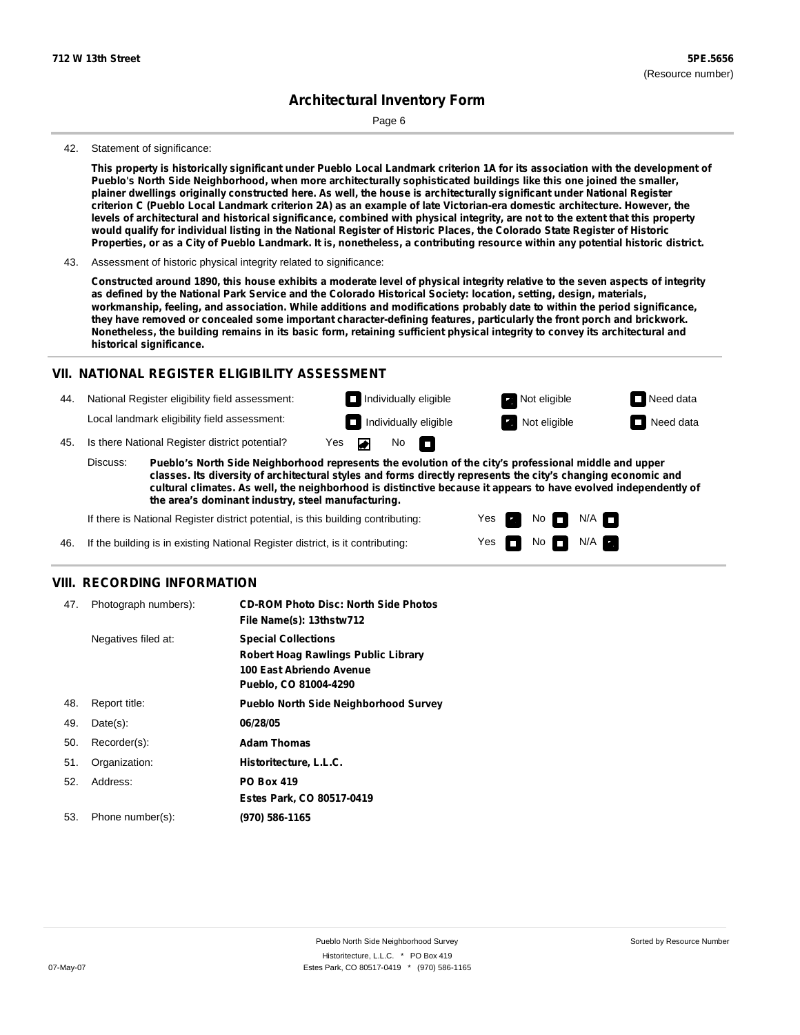Page 6

#### 42. Statement of significance:

This property is historically significant under Pueblo Local Landmark criterion 1A for its association with the development of **Pueblo's North Side Neighborhood, when more architecturally sophisticated buildings like this one joined the smaller,** plainer dwellings originally constructed here. As well, the house is architecturally significant under National Register criterion C (Pueblo Local Landmark criterion 2A) as an example of late Victorian-era domestic architecture. However, the levels of architectural and historical significance, combined with physical integrity, are not to the extent that this property would qualify for individual listing in the National Register of Historic Places, the Colorado State Register of Historic Properties, or as a City of Pueblo Landmark. It is, nonetheless, a contributing resource within any potential historic district.

43. Assessment of historic physical integrity related to significance:

Constructed around 1890, this house exhibits a moderate level of physical integrity relative to the seven aspects of integrity as defined by the National Park Service and the Colorado Historical Society: location, setting, design, materials, workmanship, feeling, and association. While additions and modifications probably date to within the period significance, **they have removed or concealed some important character-defining features, particularly the front porch and brickwork.** Nonetheless, the building remains in its basic form, retaining sufficient physical integrity to convey its architectural and **historical significance.**

### **VII. NATIONAL REGISTER ELIGIBILITY ASSESSMENT**

- 44. National Register eligibility field assessment: Local landmark eligibility field assessment:
- No **Individually eligible Not eligible** Not eligible **Need data**

m



45. Is there National Register district potential? Yes

**Pueblo's North Side Neighborhood represents the evolution of the city's professional middle and upper classes. Its diversity of architectural styles and forms directly represents the city's changing economic and cultural climates. As well, the neighborhood is distinctive because it appears to have evolved independently of the area's dominant industry, steel manufacturing.** Discuss:

> Yes Yes

No

 $No$   $\neg$   $N/A$ 

 $N/A$ 

If there is National Register district potential, is this building contributing:

If the building is in existing National Register district, is it contributing: 46.

### **VIII. RECORDING INFORMATION**

| 47. | Photograph numbers): | <b>CD-ROM Photo Disc: North Side Photos</b><br>File Name(s): 13thstw712                                                       |
|-----|----------------------|-------------------------------------------------------------------------------------------------------------------------------|
|     | Negatives filed at:  | <b>Special Collections</b><br><b>Robert Hoag Rawlings Public Library</b><br>100 East Abriendo Avenue<br>Pueblo, CO 81004-4290 |
| 48. | Report title:        | <b>Pueblo North Side Neighborhood Survey</b>                                                                                  |
| 49. | $Date(s)$ :          | 06/28/05                                                                                                                      |
| 50. | Recorder(s):         | <b>Adam Thomas</b>                                                                                                            |
| 51. | Organization:        | Historitecture, L.L.C.                                                                                                        |
| 52. | Address:             | <b>PO Box 419</b>                                                                                                             |
|     |                      | Estes Park, CO 80517-0419                                                                                                     |
| 53. | Phone number(s):     | (970) 586-1165                                                                                                                |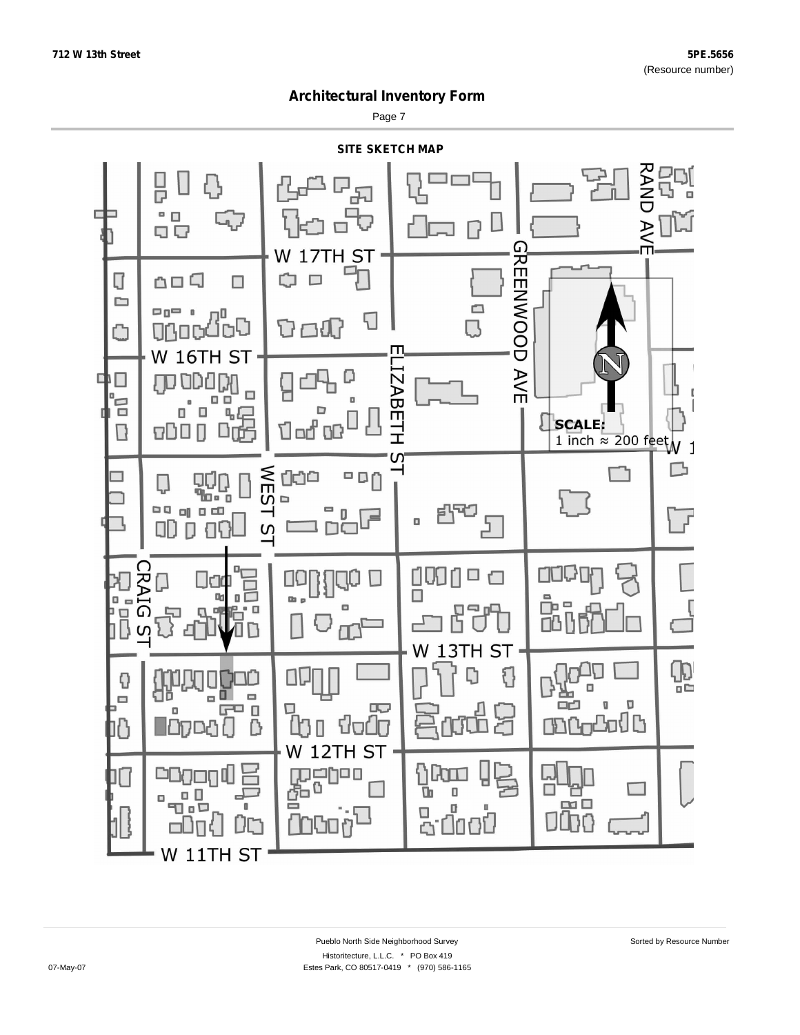Page 7